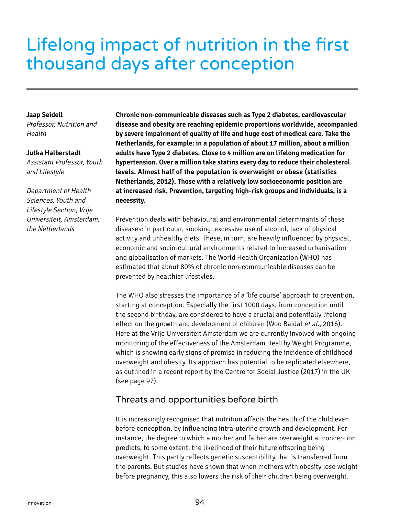# Lifelong impact of nutrition in the first thousand days after conception

## **Jaap Seidell**

Professor, Nutrition and Health

## **Jutka Halberstadt**

Assistant Professor, Youth and Lifestyle

Department of Health Sciences, Youth and Lifestyle Section, Vrije Universiteit, Amsterdam, the Netherlands

**Chronic non-communicable diseases such as Type 2 diabetes, cardiovascular disease and obesity are reaching epidemic proportions worldwide, accompanied by severe impairment of quality of life and huge cost of medical care. Take the Netherlands, for example: in a population of about 17 million, about a million adults have Type 2 diabetes. Close to 4 million are on lifelong medication for hypertension. Over a million take statins every day to reduce their cholesterol levels. Almost half of the population is overweight or obese (statistics Netherlands, 2012). Those with a relatively low socioeconomic position are at increased risk. Prevention, targeting high-risk groups and individuals, is a necessity.**

Prevention deals with behavioural and environmental determinants of these diseases: in particular, smoking, excessive use of alcohol, lack of physical activity and unhealthy diets. These, in turn, are heavily influenced by physical, economic and socio-cultural environments related to increased urbanisation and globalisation of markets. The World Health Organization (WHO) has estimated that about 80% of chronic non-communicable diseases can be prevented by healthier lifestyles.

The WHO also stresses the importance of a 'life course' approach to prevention, starting at conception. Especially the first 1000 days, from conception until the second birthday, are considered to have a crucial and potentially lifelong effect on the growth and development of children (Woo Baidal et al., 2016). Here at the Vrije Universiteit Amsterdam we are currently involved with ongoing monitoring of the effectiveness of the Amsterdam Healthy Weight Programme, which is showing early signs of promise in reducing the incidence of childhood overweight and obesity. Its approach has potential to be replicated elsewhere, as outlined in a recent report by the Centre for Social Justice (2017) in the UK (see page 97).

## Threats and opportunities before birth

It is increasingly recognised that nutrition affects the health of the child even before conception, by influencing intra-uterine growth and development. For instance, the degree to which a mother and father are overweight at conception predicts, to some extent, the likelihood of their future offspring being overweight. This partly reflects genetic susceptibility that is transferred from the parents. But studies have shown that when mothers with obesity lose weight before pregnancy, this also lowers the risk of their children being overweight.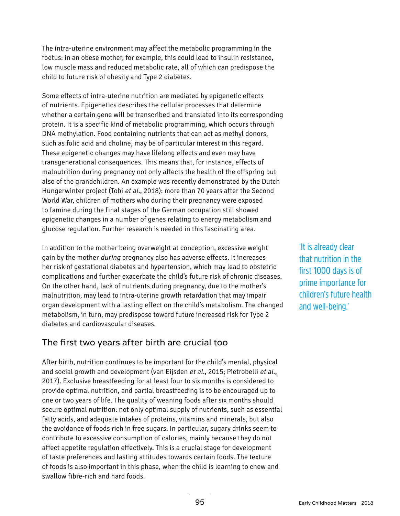The intra-uterine environment may affect the metabolic programming in the foetus: in an obese mother, for example, this could lead to insulin resistance, low muscle mass and reduced metabolic rate, all of which can predispose the child to future risk of obesity and Type 2 diabetes.

Some effects of intra-uterine nutrition are mediated by epigenetic effects of nutrients. Epigenetics describes the cellular processes that determine whether a certain gene will be transcribed and translated into its corresponding protein. It is a specific kind of metabolic programming, which occurs through DNA methylation. Food containing nutrients that can act as methyl donors, such as folic acid and choline, may be of particular interest in this regard. These epigenetic changes may have lifelong effects and even may have transgenerational consequences. This means that, for instance, effects of malnutrition during pregnancy not only affects the health of the offspring but also of the grandchildren. An example was recently demonstrated by the Dutch Hungerwinter project (Tobi et al., 2018): more than 70 years after the Second World War, children of mothers who during their pregnancy were exposed to famine during the final stages of the German occupation still showed epigenetic changes in a number of genes relating to energy metabolism and glucose regulation. Further research is needed in this fascinating area.

In addition to the mother being overweight at conception, excessive weight gain by the mother during pregnancy also has adverse effects. It increases her risk of gestational diabetes and hypertension, which may lead to obstetric complications and further exacerbate the child's future risk of chronic diseases. On the other hand, lack of nutrients during pregnancy, due to the mother's malnutrition, may lead to intra-uterine growth retardation that may impair organ development with a lasting effect on the child's metabolism. The changed metabolism, in turn, may predispose toward future increased risk for Type 2 diabetes and cardiovascular diseases.

# The first two years after birth are crucial too

After birth, nutrition continues to be important for the child's mental, physical and social growth and development (van Eijsden et al., 2015; Pietrobelli et al., 2017). Exclusive breastfeeding for at least four to six months is considered to provide optimal nutrition, and partial breastfeeding is to be encouraged up to one or two years of life. The quality of weaning foods after six months should secure optimal nutrition: not only optimal supply of nutrients, such as essential fatty acids, and adequate intakes of proteins, vitamins and minerals, but also the avoidance of foods rich in free sugars. In particular, sugary drinks seem to contribute to excessive consumption of calories, mainly because they do not affect appetite regulation effectively. This is a crucial stage for development of taste preferences and lasting attitudes towards certain foods. The texture of foods is also important in this phase, when the child is learning to chew and swallow fibre-rich and hard foods.

'It is already clear that nutrition in the first 1000 days is of prime importance for children's future health and well-being.'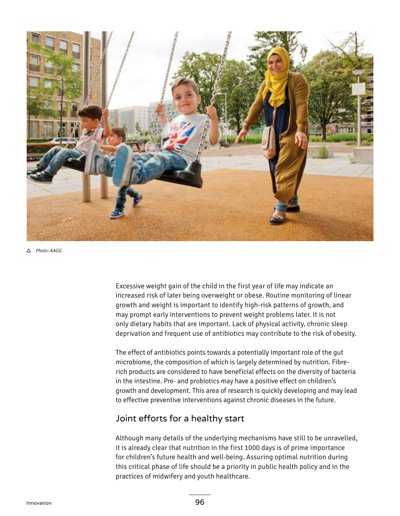

Photo: AAGG

Excessive weight gain of the child in the first year of life may indicate an increased risk of later being overweight or obese. Routine monitoring of linear growth and weight is important to identify high-risk patterns of growth, and may prompt early interventions to prevent weight problems later. It is not only dietary habits that are important. Lack of physical activity, chronic sleep deprivation and frequent use of antibiotics may contribute to the risk of obesity.

The effect of antibiotics points towards a potentially important role of the gut microbiome, the composition of which is largely determined by nutrition. Fibrerich products are considered to have beneficial effects on the diversity of bacteria in the intestine. Pre- and probiotics may have a positive effect on children's growth and development. This area of research is quickly developing and may lead to effective preventive interventions against chronic diseases in the future.

## Joint efforts for a healthy start

Although many details of the underlying mechanisms have still to be unravelled, it is already clear that nutrition in the first 1000 days is of prime importance for children's future health and well-being. Assuring optimal nutrition during this critical phase of life should be a priority in public health policy and in the practices of midwifery and youth healthcare.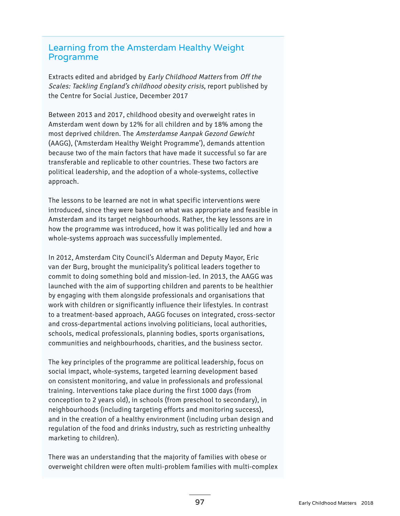# Learning from the Amsterdam Healthy Weight Programme

Extracts edited and abridged by Early Childhood Matters from Off the Scales: Tackling England's childhood obesity crisis, report published by the Centre for Social Justice, December 2017

Between 2013 and 2017, childhood obesity and overweight rates in Amsterdam went down by 12% for all children and by 18% among the most deprived children. The Amsterdamse Aanpak Gezond Gewicht (AAGG), ('Amsterdam Healthy Weight Programme'), demands attention because two of the main factors that have made it successful so far are transferable and replicable to other countries. These two factors are political leadership, and the adoption of a whole-systems, collective approach.

The lessons to be learned are not in what specific interventions were introduced, since they were based on what was appropriate and feasible in Amsterdam and its target neighbourhoods. Rather, the key lessons are in how the programme was introduced, how it was politically led and how a whole-systems approach was successfully implemented.

In 2012, Amsterdam City Council's Alderman and Deputy Mayor, Eric van der Burg, brought the municipality's political leaders together to commit to doing something bold and mission-led. In 2013, the AAGG was launched with the aim of supporting children and parents to be healthier by engaging with them alongside professionals and organisations that work with children or significantly influence their lifestyles. In contrast to a treatment-based approach, AAGG focuses on integrated, cross-sector and cross-departmental actions involving politicians, local authorities, schools, medical professionals, planning bodies, sports organisations, communities and neighbourhoods, charities, and the business sector.

The key principles of the programme are political leadership, focus on social impact, whole-systems, targeted learning development based on consistent monitoring, and value in professionals and professional training. Interventions take place during the first 1000 days (from conception to 2 years old), in schools (from preschool to secondary), in neighbourhoods (including targeting efforts and monitoring success), and in the creation of a healthy environment (including urban design and regulation of the food and drinks industry, such as restricting unhealthy marketing to children).

There was an understanding that the majority of families with obese or overweight children were often multi-problem families with multi-complex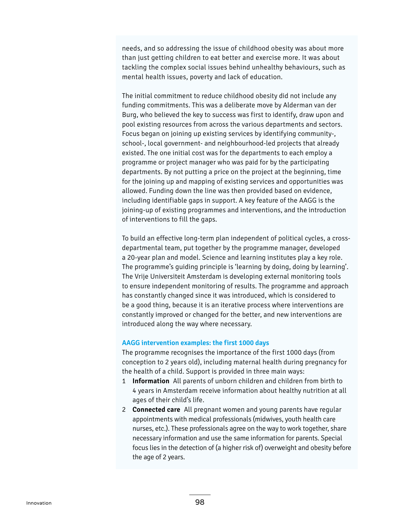needs, and so addressing the issue of childhood obesity was about more than just getting children to eat better and exercise more. It was about tackling the complex social issues behind unhealthy behaviours, such as mental health issues, poverty and lack of education.

The initial commitment to reduce childhood obesity did not include any funding commitments. This was a deliberate move by Alderman van der Burg, who believed the key to success was first to identify, draw upon and pool existing resources from across the various departments and sectors. Focus began on joining up existing services by identifying community-, school-, local government- and neighbourhood-led projects that already existed. The one initial cost was for the departments to each employ a programme or project manager who was paid for by the participating departments. By not putting a price on the project at the beginning, time for the joining up and mapping of existing services and opportunities was allowed. Funding down the line was then provided based on evidence, including identifiable gaps in support. A key feature of the AAGG is the joining-up of existing programmes and interventions, and the introduction of interventions to fill the gaps.

To build an effective long-term plan independent of political cycles, a crossdepartmental team, put together by the programme manager, developed a 20-year plan and model. Science and learning institutes play a key role. The programme's guiding principle is 'learning by doing, doing by learning'. The Vrije Universiteit Amsterdam is developing external monitoring tools to ensure independent monitoring of results. The programme and approach has constantly changed since it was introduced, which is considered to be a good thing, because it is an iterative process where interventions are constantly improved or changed for the better, and new interventions are introduced along the way where necessary.

## **AAGG intervention examples: the first 1000 days**

The programme recognises the importance of the first 1000 days (from conception to 2 years old), including maternal health during pregnancy for the health of a child. Support is provided in three main ways:

- 1 **Information** All parents of unborn children and children from birth to 4 years in Amsterdam receive information about healthy nutrition at all ages of their child's life.
- 2 **Connected care** All pregnant women and young parents have regular appointments with medical professionals (midwives, youth health care nurses, etc.). These professionals agree on the way to work together, share necessary information and use the same information for parents. Special focus lies in the detection of (a higher risk of) overweight and obesity before the age of 2 years.